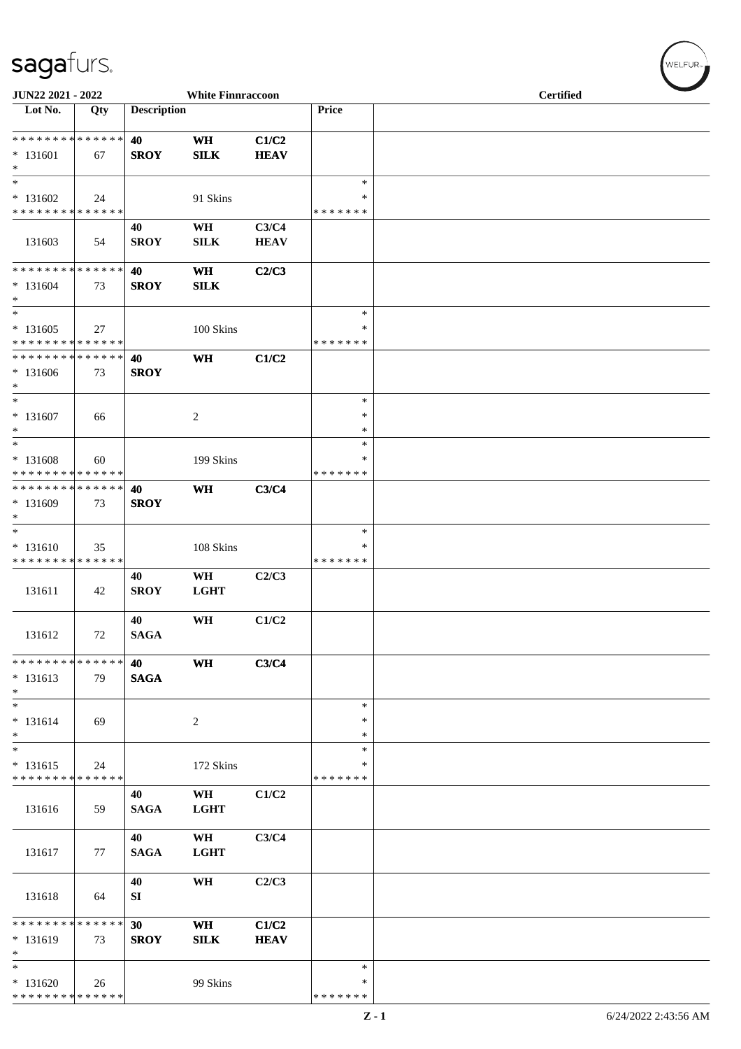## sagafurs.

| JUN22 2021 - 2022                                              |     |                    | <b>White Finnraccoon</b> |                      |                                   | <b>Certified</b> |  |  |  |  |
|----------------------------------------------------------------|-----|--------------------|--------------------------|----------------------|-----------------------------------|------------------|--|--|--|--|
| Lot No.                                                        | Qty | <b>Description</b> |                          |                      | Price                             |                  |  |  |  |  |
| * * * * * * * * * * * * * *<br>$* 131601$<br>$\ast$            | 67  | 40<br><b>SROY</b>  | <b>WH</b><br><b>SILK</b> | C1/C2<br><b>HEAV</b> |                                   |                  |  |  |  |  |
| $\ast$<br>$* 131602$<br>* * * * * * * * * * * * * *            | 24  |                    | 91 Skins                 |                      | $\ast$<br>$\ast$<br>* * * * * * * |                  |  |  |  |  |
| 131603                                                         | 54  | 40<br><b>SROY</b>  | WH<br><b>SILK</b>        | C3/C4<br><b>HEAV</b> |                                   |                  |  |  |  |  |
| * * * * * * * * * * * * * *<br>$* 131604$<br>$\ast$            | 73  | 40<br><b>SROY</b>  | <b>WH</b><br><b>SILK</b> | C2/C3                |                                   |                  |  |  |  |  |
| $\ast$<br>$* 131605$<br>* * * * * * * * * * * * * *            | 27  |                    | 100 Skins                |                      | $\ast$<br>∗<br>* * * * * * *      |                  |  |  |  |  |
| * * * * * * * * * * * * * *<br>* 131606<br>$\ast$              | 73  | 40<br><b>SROY</b>  | <b>WH</b>                | C1/C2                |                                   |                  |  |  |  |  |
| $\ast$<br>$* 131607$<br>$\ast$                                 | 66  |                    | $\sqrt{2}$               |                      | $\ast$<br>$\ast$<br>$\ast$        |                  |  |  |  |  |
| $\ast$<br>$* 131608$<br>* * * * * * * * * * * * * *            | 60  |                    | 199 Skins                |                      | $\ast$<br>∗<br>* * * * * * *      |                  |  |  |  |  |
| * * * * * * * * * * * * * *<br>* 131609<br>$\ast$              | 73  | 40<br><b>SROY</b>  | <b>WH</b>                | C3/C4                |                                   |                  |  |  |  |  |
| $\ast$<br>$* 131610$<br>* * * * * * * * * * * * * *            | 35  |                    | 108 Skins                |                      | $\ast$<br>∗<br>* * * * * * *      |                  |  |  |  |  |
| 131611                                                         | 42  | 40<br><b>SROY</b>  | WH<br><b>LGHT</b>        | C2/C3                |                                   |                  |  |  |  |  |
| 131612                                                         | 72  | 40<br><b>SAGA</b>  | WH                       | C1/C2                |                                   |                  |  |  |  |  |
| * * * * * * * * * * * * * *<br>$* 131613$<br>$*$               | 79  | 40<br><b>SAGA</b>  | <b>WH</b>                | C3/C4                |                                   |                  |  |  |  |  |
| $*$<br>$* 131614$<br>$*$                                       | 69  |                    | $\overline{2}$           |                      | $\ast$<br>∗<br>$\ast$             |                  |  |  |  |  |
| $\ast$<br>$* 131615$<br>* * * * * * * * * * * * * *            | 24  |                    | 172 Skins                |                      | $\ast$<br>∗<br>* * * * * * *      |                  |  |  |  |  |
| 131616                                                         | 59  | 40<br><b>SAGA</b>  | WH<br><b>LGHT</b>        | C1/C2                |                                   |                  |  |  |  |  |
| 131617                                                         | 77  | 40<br><b>SAGA</b>  | WH<br><b>LGHT</b>        | C3/C4                |                                   |                  |  |  |  |  |
| 131618                                                         | 64  | 40<br>SI           | WH                       | C2/C3                |                                   |                  |  |  |  |  |
| * * * * * * * * * * * * * *<br>$*131619$<br>$\ast$             | 73  | 30<br><b>SROY</b>  | <b>WH</b><br><b>SILK</b> | C1/C2<br><b>HEAV</b> |                                   |                  |  |  |  |  |
| $\overline{\ast}$<br>$* 131620$<br>* * * * * * * * * * * * * * | 26  |                    | 99 Skins                 |                      | $\ast$<br>∗<br>* * * * * * *      |                  |  |  |  |  |

WELFUR<sub><sup>N</sub></sub></sub></sup>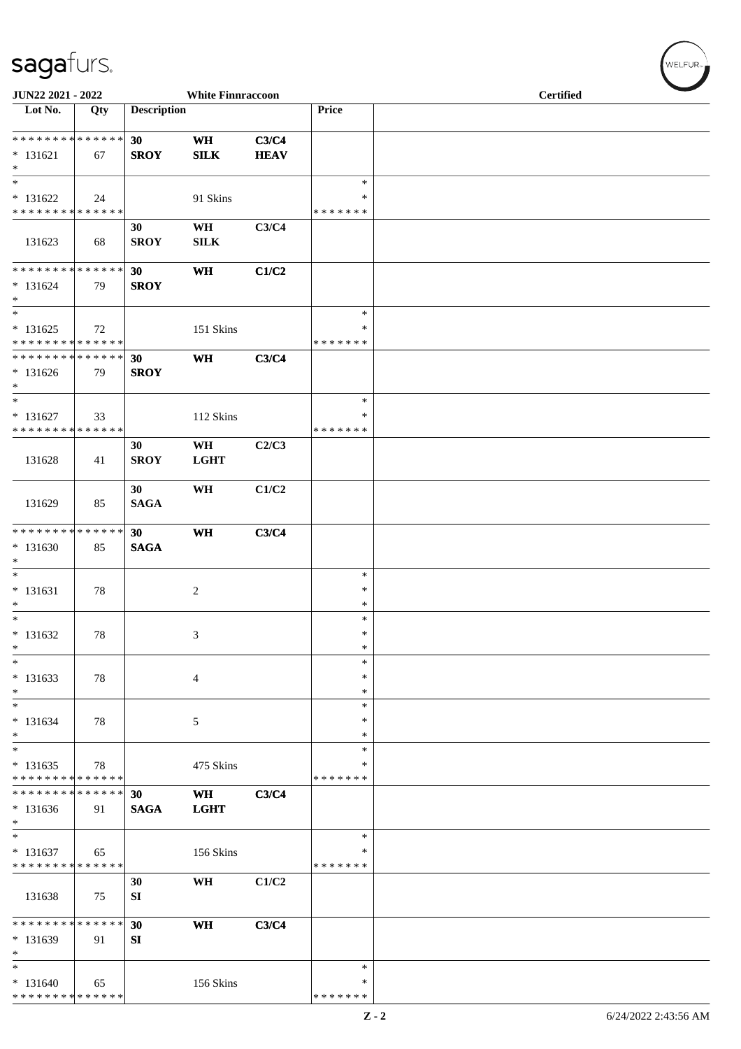## sagafurs.

| JUN22 2021 - 2022                                                       |     |                    | <b>White Finnraccoon</b>  |                      |                                   | <b>Certified</b> |  |
|-------------------------------------------------------------------------|-----|--------------------|---------------------------|----------------------|-----------------------------------|------------------|--|
| $\overline{\phantom{1}}$ Lot No.                                        | Qty | <b>Description</b> |                           |                      | Price                             |                  |  |
| **************<br>$* 131621$<br>$\ast$                                  | 67  | 30<br><b>SROY</b>  | <b>WH</b><br>${\bf SILK}$ | C3/C4<br><b>HEAV</b> |                                   |                  |  |
| $\overline{\phantom{1}}$<br>$* 131622$<br>* * * * * * * * * * * * * *   | 24  |                    | 91 Skins                  |                      | $\ast$<br>$\ast$<br>* * * * * * * |                  |  |
| 131623                                                                  | 68  | 30<br><b>SROY</b>  | WH<br>SILK                | C3/C4                |                                   |                  |  |
| **************<br>$* 131624$<br>$\ast$                                  | 79  | 30<br><b>SROY</b>  | WH                        | C1/C2                |                                   |                  |  |
| $_{\ast}^{-}$<br>$* 131625$<br>* * * * * * * * * * * * * *              | 72  |                    | 151 Skins                 |                      | $\ast$<br>∗<br>* * * * * * *      |                  |  |
| * * * * * * * * * * * * * *<br>$* 131626$<br>$\ast$                     | 79  | 30<br><b>SROY</b>  | <b>WH</b>                 | C3/C4                |                                   |                  |  |
| $\overline{\phantom{a}^*}$<br>$* 131627$<br>* * * * * * * * * * * * * * | 33  |                    | 112 Skins                 |                      | $\ast$<br>$\ast$<br>* * * * * * * |                  |  |
| 131628                                                                  | 41  | 30<br><b>SROY</b>  | WH<br><b>LGHT</b>         | C2/C3                |                                   |                  |  |
| 131629                                                                  | 85  | 30<br><b>SAGA</b>  | WH                        | C1/C2                |                                   |                  |  |
| **************<br>$* 131630$<br>$\ast$                                  | 85  | 30<br><b>SAGA</b>  | <b>WH</b>                 | C3/C4                |                                   |                  |  |
| $\overline{\phantom{0}}$<br>$* 131631$<br>$\ast$                        | 78  |                    | $\overline{2}$            |                      | $\ast$<br>$\ast$<br>$\ast$        |                  |  |
| $*$<br>$* 131632$<br>$\ast$                                             | 78  |                    | 3                         |                      | $\ast$<br>$\ast$<br>$\ast$        |                  |  |
| $\ast$<br>$* 131633$<br>$\ast$                                          | 78  |                    | 4                         |                      | $\ast$<br>$\ast$<br>$\ast$        |                  |  |
| $\ast$<br>$* 131634$<br>$\ast$                                          | 78  |                    | $\sqrt{5}$                |                      | $\ast$<br>∗<br>$\ast$             |                  |  |
| $\ast$<br>$* 131635$<br>* * * * * * * * * * * * * *                     | 78  |                    | 475 Skins                 |                      | $\ast$<br>*<br>* * * * * * *      |                  |  |
| * * * * * * * * * * * * * *<br>$* 131636$<br>$\ast$                     | 91  | 30<br><b>SAGA</b>  | <b>WH</b><br><b>LGHT</b>  | C3/C4                |                                   |                  |  |
| $_{\ast}^{-}$<br>$* 131637$<br>* * * * * * * * * * * * * *              | 65  |                    | 156 Skins                 |                      | $\ast$<br>∗<br>* * * * * * *      |                  |  |
| 131638                                                                  | 75  | 30<br>SI           | WH                        | C1/C2                |                                   |                  |  |
| * * * * * * * * * * * * * *<br>$* 131639$<br>$\ast$                     | 91  | 30<br>SI           | WH                        | C3/C4                |                                   |                  |  |
| $\overline{\phantom{a}^*}$<br>$* 131640$<br>* * * * * * * * * * * * * * | 65  |                    | 156 Skins                 |                      | $\ast$<br>∗<br>* * * * * * *      |                  |  |

 $(w$ ELFUR<sub>m</sub>